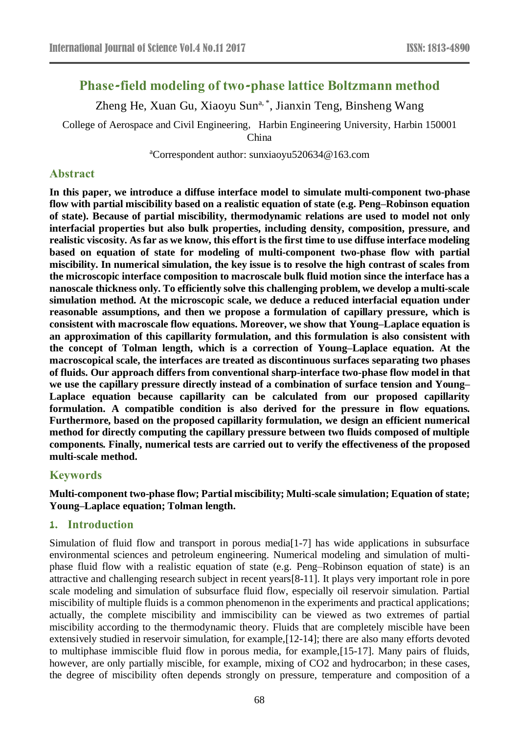# **Phase-field modeling of two-phase lattice Boltzmann method**

Zheng He, Xuan Gu, Xiaoyu Sun<sup>a, \*</sup>, Jianxin Teng, Binsheng Wang

College of Aerospace and Civil Engineering, Harbin Engineering University, Harbin 150001

China

<sup>a</sup>Correspondent author: [sunxiaoyu520634@163.com](mailto:asunxiaoyu520634@163.com,)

# **Abstract**

**In this paper, we introduce a diffuse interface model to simulate multi-component two-phase flow with partial miscibility based on a realistic equation of state (e.g. Peng–Robinson equation of state). Because of partial miscibility, thermodynamic relations are used to model not only interfacial properties but also bulk properties, including density, composition, pressure, and** realistic viscosity. As far as we know, this effort is the first time to use diffuse interface modeling **based on equation of state for modeling of multi-component two-phase flow with partial miscibility. In numerical simulation, the key issue is to resolve the high contrast of scales from the microscopic interface composition to macroscale bulk fluid motion since the interface has a nanoscale thickness only. To efficiently solve this challenging problem, we develop a multi-scale simulation method. At the microscopic scale, we deduce a reduced interfacial equation under reasonable assumptions, and then we propose a formulation of capillary pressure, which is consistent with macroscale flow equations. Moreover, we show that Young–Laplace equation is an approximation of this capillarity formulation, and this formulation is also consistent with the concept of Tolman length, which is a correction of Young–Laplace equation. At the macroscopical scale, the interfaces are treated as discontinuous surfaces separating two phases of fluids. Our approach differs from conventional sharp-interface two-phase flow model in that we use the capillary pressure directly instead of a combination of surface tension and Young– Laplace equation because capillarity can be calculated from our proposed capillarity formulation. A compatible condition is also derived for the pressure in flow equations. Furthermore, based on the proposed capillarity formulation, we design an efficient numerical method for directly computing the capillary pressure between two fluids composed of multiple components. Finally, numerical tests are carried out to verify the effectiveness of the proposed multi-scale method.**

# **Keywords**

**Multi-component two-phase flow; Partial miscibility; Multi-scale simulation; Equation of state; Young–Laplace equation; Tolman length.**

# **1. Introduction**

Simulation of fluid flow and transport in porous medi[a\[1-7\]](http://www.sciencedirect.com/science/article/pii/S0021999116301103#br0400) has wide applications in subsurface environmental sciences and petroleum engineering. Numerical modeling and simulation of multiphase fluid flow with a realistic equation of state (e.g. Peng–Robinson equation of state) is an attractive and challenging research subject in recent year[s\[8-11\].](http://www.sciencedirect.com/science/article/pii/S0021999116301103#br0350) It plays very important role in pore scale modeling and simulation of subsurface fluid flow, especially oil reservoir simulation. Partial miscibility of multiple fluids is a common phenomenon in the experiments and practical applications; actually, the complete miscibility and immiscibility can be viewed as two extremes of partial miscibility according to the thermodynamic theory. Fluids that are completely miscible have been extensively studied in reservoir simulation, for example[,\[12-14\];](http://www.sciencedirect.com/science/article/pii/S0021999116301103#br0440) there are also many efforts devoted to multiphase immiscible fluid flow in porous media, for example[,\[15-17\].](http://www.sciencedirect.com/science/article/pii/S0021999116301103#br0230) Many pairs of fluids, however, are only partially miscible, for example, mixing of CO2 and hydrocarbon; in these cases, the degree of miscibility often depends strongly on pressure, temperature and composition of a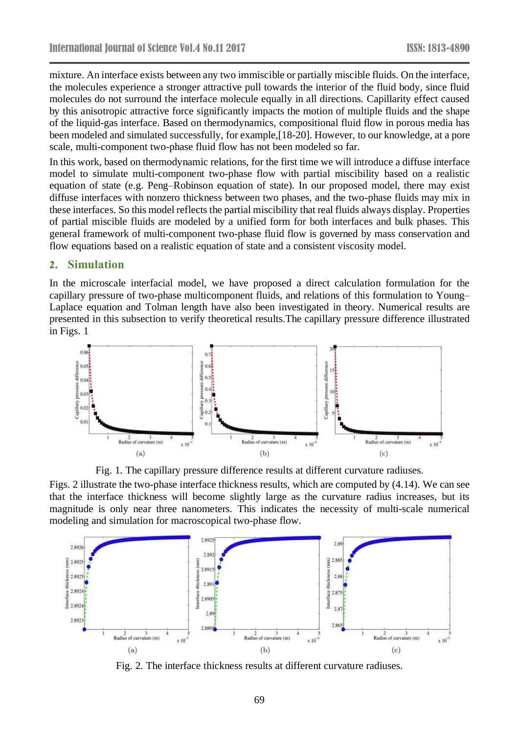mixture. An interface exists between any two immiscible or partially miscible fluids. On the interface, the molecules experience a stronger attractive pull towards the interior of the fluid body, since fluid molecules do not surround the interface molecule equally in all directions. Capillarity effect caused by this anisotropic attractive force significantly impacts the motion of multiple fluids and the shape of the liquid-gas interface. Based on thermodynamics, compositional fluid flow in porous media has been modeled and simulated successfully, for example[,\[18-20\].](http://www.sciencedirect.com/science/article/pii/S0021999116301103#br0330) However, to our knowledge, at a pore scale, multi-component two-phase fluid flow has not been modeled so far.

In this work, based on thermodynamic relations, for the first time we will introduce a diffuse interface model to simulate multi-component two-phase flow with partial miscibility based on a realistic equation of state (e.g. Peng–Robinson equation of state). In our proposed model, there may exist diffuse interfaces with nonzero thickness between two phases, and the two-phase fluids may mix in these interfaces. So this model reflects the partial miscibility that real fluids always display. Properties of partial miscible fluids are modeled by a unified form for both interfaces and bulk phases. This general framework of multi-component two-phase fluid flow is governed by mass conservation and flow equations based on a realistic equation of state and a consistent viscosity model.

#### **2. Simulation**

In the microscale interfacial model, we have proposed a direct calculation formulation for the capillary pressure of two-phase multicomponent fluids, and relations of this formulation to Young– Laplace equation and Tolman length have also been investigated in theory. Numerical results are presented in this subsection to verify theoretical results.The capillary pressure difference illustrated in [Figs.](http://www.sciencedirect.com/science/article/pii/S0021999116301103#fg0010) 1



Fig. 1. The capillary pressure difference results at different curvature radiuses.

[Figs.](http://www.sciencedirect.com/science/article/pii/S0021999116301103#fg0020) 2 illustrate the two-phase interface thickness results, which are computed by [\(4.14\).](http://www.sciencedirect.com/science/article/pii/S0021999116301103#fm0790) We can see that the interface thickness will become slightly large as the curvature radius increases, but its magnitude is only near three nanometers. This indicates the necessity of multi-scale numerical modeling and simulation for macroscopical two-phase flow.



Fig. 2. The interface thickness results at different curvature radiuses.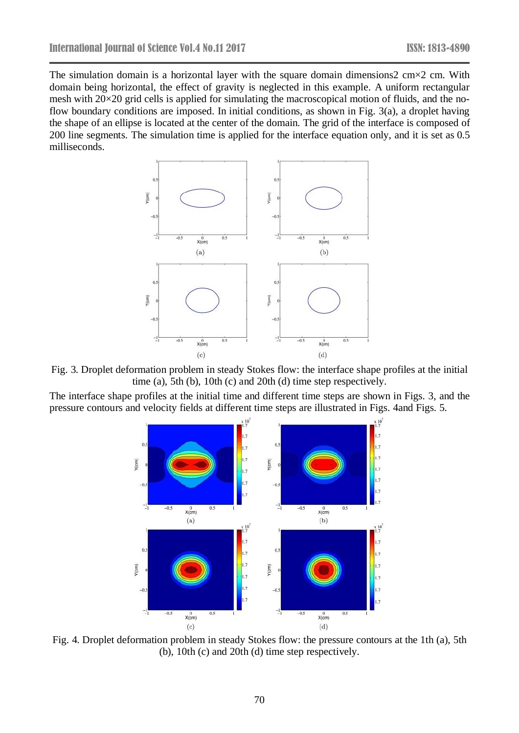The simulation domain is a horizontal layer with the square domain dimensions  $2 \text{ cm} \times 2 \text{ cm}$ . With domain being horizontal, the effect of gravity is neglected in this example. A uniform rectangular mesh with 20×20 grid cells is applied for simulating the macroscopical motion of fluids, and the noflow boundary conditions are imposed. In initial conditions, as shown in [Fig.](http://www.sciencedirect.com/science/article/pii/S0021999116301103#fg0030) 3(a), a droplet having the shape of an ellipse is located at the center of the domain. The grid of the interface is composed of 200 line segments. The simulation time is applied for the interface equation only, and it is set as 0.5 milliseconds.



Fig. 3. Droplet deformation problem in steady Stokes flow: the interface shape profiles at the initial time (a), 5th (b), 10th (c) and 20th (d) time step respectively.

The interface shape profiles at the initial time and different time steps are shown in [Figs.](http://www.sciencedirect.com/science/article/pii/S0021999116301103#fg0030) 3, and the pressure contours and velocity fields at different time steps are illustrated in [Figs.](http://www.sciencedirect.com/science/article/pii/S0021999116301103#fg0040) 4and [Figs.](http://www.sciencedirect.com/science/article/pii/S0021999116301103#fg0050) 5.



Fig. 4. Droplet deformation problem in steady Stokes flow: the pressure contours at the 1th (a), 5th (b), 10th (c) and 20th (d) time step respectively.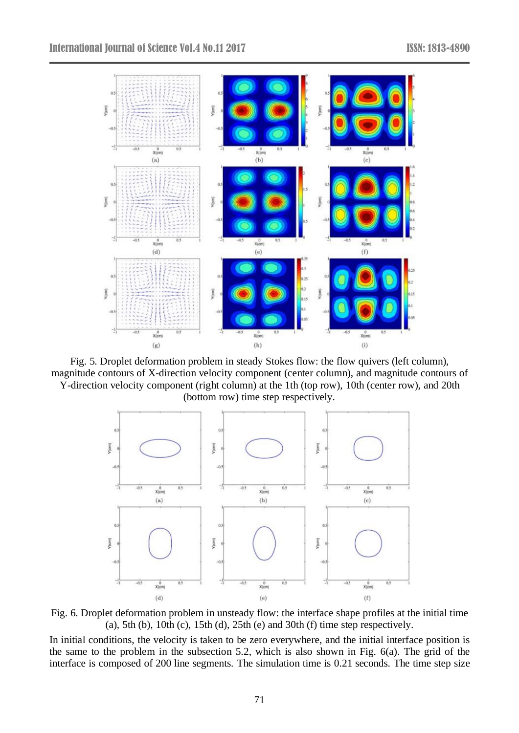

Fig. 5. Droplet deformation problem in steady Stokes flow: the flow quivers (left column), magnitude contours of X-direction velocity component (center column), and magnitude contours of Y-direction velocity component (right column) at the 1th (top row), 10th (center row), and 20th (bottom row) time step respectively.



Fig. 6. Droplet deformation problem in unsteady flow: the interface shape profiles at the initial time (a), 5th (b), 10th (c), 15th (d), 25th (e) and 30th (f) time step respectively.

In initial conditions, the velocity is taken to be zero everywhere, and the initial interface position is the same to the problem in the subsection [5.2,](http://www.sciencedirect.com/science/article/pii/S0021999116301103#se0150) which is also shown in [Fig.](http://www.sciencedirect.com/science/article/pii/S0021999116301103#fg0060) 6(a). The grid of the interface is composed of 200 line segments. The simulation time is 0.21 seconds. The time step size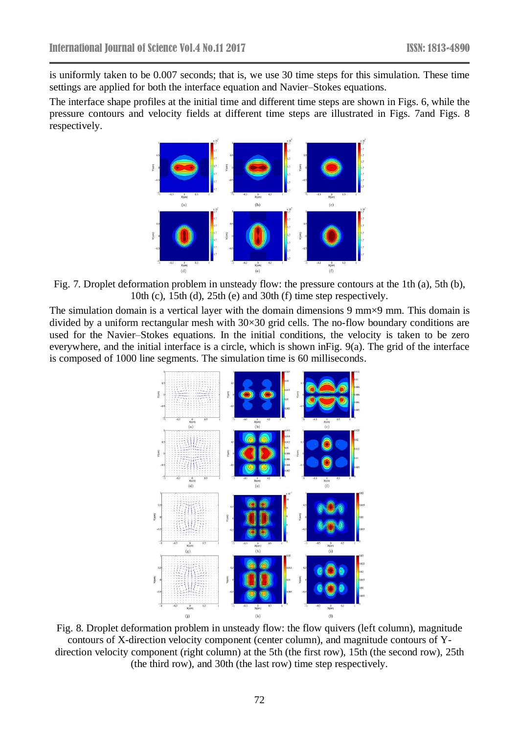is uniformly taken to be 0.007 seconds; that is, we use 30 time steps for this simulation. These time settings are applied for both the interface equation and Navier–Stokes equations.

The interface shape profiles at the initial time and different time steps are shown in [Figs.](http://www.sciencedirect.com/science/article/pii/S0021999116301103#fg0060) 6, while the pressure contours and velocity fields at different time steps are illustrated in [Figs.](http://www.sciencedirect.com/science/article/pii/S0021999116301103#fg0070) 7and [Figs.](http://www.sciencedirect.com/science/article/pii/S0021999116301103#fg0080) 8 respectively.



Fig. 7. Droplet deformation problem in unsteady flow: the pressure contours at the 1th (a), 5th (b), 10th (c), 15th (d), 25th (e) and 30th (f) time step respectively.

The simulation domain is a vertical layer with the domain dimensions 9 mm×9 mm. This domain is divided by a uniform rectangular mesh with 30×30 grid cells. The no-flow boundary conditions are used for the Navier–Stokes equations. In the initial conditions, the velocity is taken to be zero everywhere, and the initial interface is a circle, which is shown i[nFig.](http://www.sciencedirect.com/science/article/pii/S0021999116301103#fg0090) 9(a). The grid of the interface is composed of 1000 line segments. The simulation time is 60 milliseconds.



Fig. 8. Droplet deformation problem in unsteady flow: the flow quivers (left column), magnitude contours of X-direction velocity component (center column), and magnitude contours of Ydirection velocity component (right column) at the 5th (the first row), 15th (the second row), 25th (the third row), and 30th (the last row) time step respectively.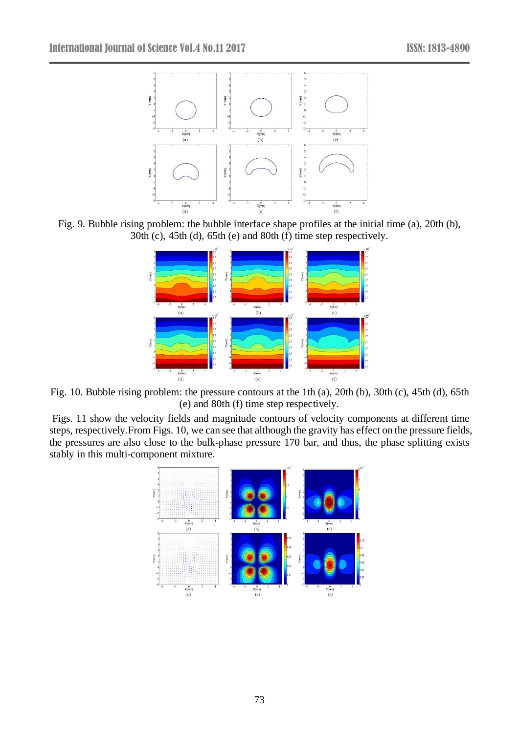

Fig. 9. Bubble rising problem: the bubble interface shape profiles at the initial time (a), 20th (b), 30th (c), 45th (d), 65th (e) and 80th (f) time step respectively.



Fig. 10. Bubble rising problem: the pressure contours at the 1th (a), 20th (b), 30th (c), 45th (d), 65th (e) and 80th (f) time step respectively.

[Figs.](http://www.sciencedirect.com/science/article/pii/S0021999116301103#fg0110) 11 show the velocity fields and magnitude contours of velocity components at different time steps, respectively.From [Figs.](http://www.sciencedirect.com/science/article/pii/S0021999116301103#fg0100) 10, we can see that although the gravity has effect on the pressure fields, the pressures are also close to the bulk-phase pressure 170 bar, and thus, the phase splitting exists stably in this multi-component mixture.

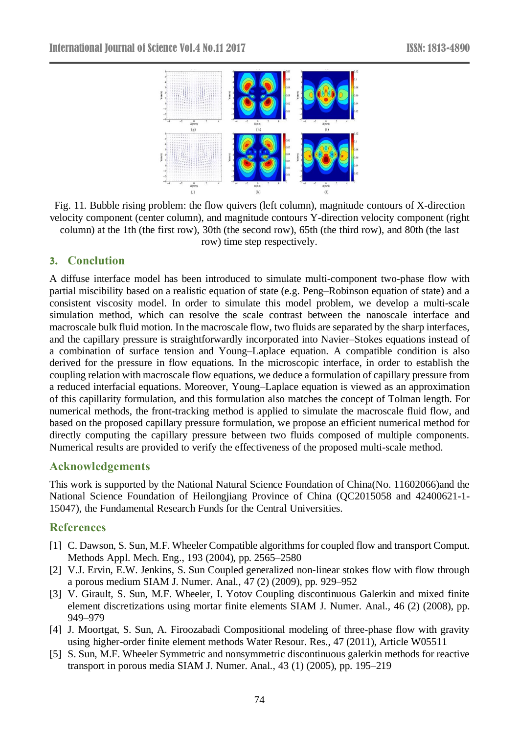

Fig. 11. Bubble rising problem: the flow quivers (left column), magnitude contours of X-direction velocity component (center column), and magnitude contours Y-direction velocity component (right column) at the 1th (the first row), 30th (the second row), 65th (the third row), and 80th (the last row) time step respectively.

# **3. Conclution**

A diffuse interface model has been introduced to simulate multi-component two-phase flow with partial miscibility based on a realistic equation of state (e.g. Peng–Robinson equation of state) and a consistent viscosity model. In order to simulate this model problem, we develop a multi-scale simulation method, which can resolve the scale contrast between the nanoscale interface and macroscale bulk fluid motion. In the macroscale flow, two fluids are separated by the sharp interfaces, and the capillary pressure is straightforwardly incorporated into Navier–Stokes equations instead of a combination of surface tension and Young–Laplace equation. A compatible condition is also derived for the pressure in flow equations. In the microscopic interface, in order to establish the coupling relation with macroscale flow equations, we deduce a formulation of capillary pressure from a reduced interfacial equations. Moreover, Young–Laplace equation is viewed as an approximation of this capillarity formulation, and this formulation also matches the concept of Tolman length. For numerical methods, the front-tracking method is applied to simulate the macroscale fluid flow, and based on the proposed capillary pressure formulation, we propose an efficient numerical method for directly computing the capillary pressure between two fluids composed of multiple components. Numerical results are provided to verify the effectiveness of the proposed multi-scale method.

# **Acknowledgements**

This work is supported by the National Natural Science Foundation of China(No. 11602066)and the National Science Foundation of Heilongjiang Province of China (QC2015058 and 42400621-1- 15047), the Fundamental Research Funds for the Central Universities.

# **References**

- [1] C. Dawson, S. Sun, M.F. Wheeler Compatible algorithms for coupled flow and transport Comput. Methods Appl. Mech. Eng., 193 (2004), pp. 2565–2580
- [2] V.J. Ervin, E.W. Jenkins, S. Sun Coupled generalized non-linear stokes flow with flow through a porous medium SIAM J. Numer. Anal., 47 (2) (2009), pp. 929–952
- [3] V. Girault, S. Sun, M.F. Wheeler, I. Yotov Coupling discontinuous Galerkin and mixed finite element discretizations using mortar finite elements SIAM J. Numer. Anal., 46 (2) (2008), pp. 949–979
- [4] J. Moortgat, S. Sun, A. Firoozabadi Compositional modeling of three-phase flow with gravity using higher-order finite element methods Water Resour. Res., 47 (2011), Article W05511
- [5] S. Sun, M.F. Wheeler Symmetric and nonsymmetric discontinuous galerkin methods for reactive transport in porous media SIAM J. Numer. Anal., 43 (1) (2005), pp. 195–219